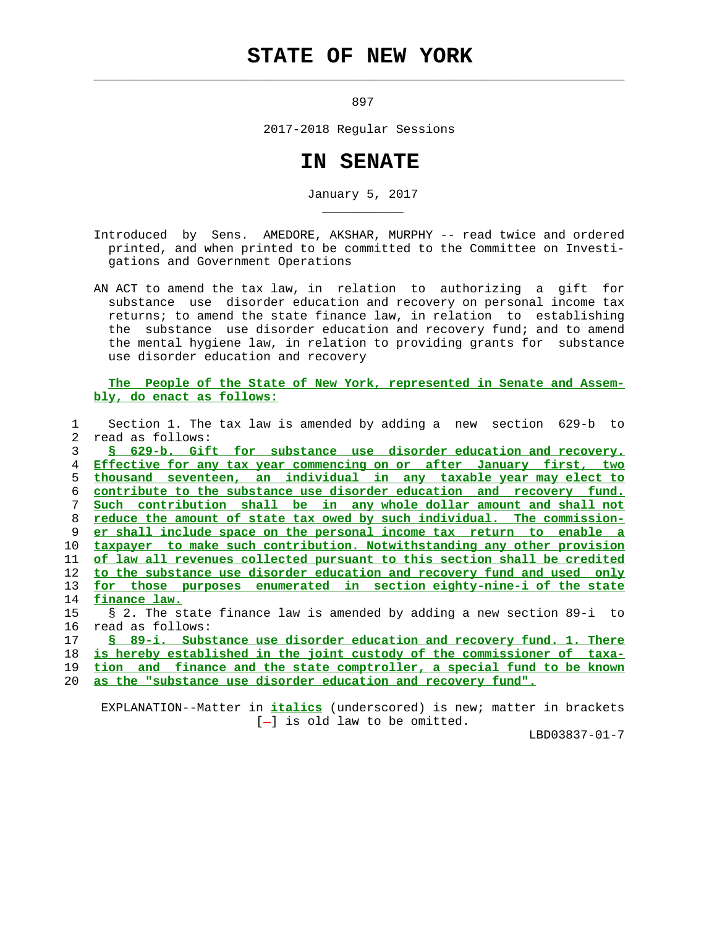## **STATE OF NEW YORK**

 $\mathcal{L}_\text{max} = \frac{1}{2} \sum_{i=1}^{n} \frac{1}{2} \sum_{i=1}^{n} \frac{1}{2} \sum_{i=1}^{n} \frac{1}{2} \sum_{i=1}^{n} \frac{1}{2} \sum_{i=1}^{n} \frac{1}{2} \sum_{i=1}^{n} \frac{1}{2} \sum_{i=1}^{n} \frac{1}{2} \sum_{i=1}^{n} \frac{1}{2} \sum_{i=1}^{n} \frac{1}{2} \sum_{i=1}^{n} \frac{1}{2} \sum_{i=1}^{n} \frac{1}{2} \sum_{i=1}^{n} \frac{1$ 

\_\_\_\_\_\_\_\_\_\_\_

897

2017-2018 Regular Sessions

## **IN SENATE**

January 5, 2017

 Introduced by Sens. AMEDORE, AKSHAR, MURPHY -- read twice and ordered printed, and when printed to be committed to the Committee on Investi gations and Government Operations

 AN ACT to amend the tax law, in relation to authorizing a gift for substance use disorder education and recovery on personal income tax returns; to amend the state finance law, in relation to establishing the substance use disorder education and recovery fund; and to amend the mental hygiene law, in relation to providing grants for substance use disorder education and recovery

 **The People of the State of New York, represented in Senate and Assem bly, do enact as follows:**

 1 Section 1. The tax law is amended by adding a new section 629-b to 2 read as follows:

**§ 629-b. Gift for substance use disorder education and recovery. Effective for any tax year commencing on or after January first, two thousand seventeen, an individual in any taxable year may elect to contribute to the substance use disorder education and recovery fund. Such contribution shall be in any whole dollar amount and shall not reduce the amount of state tax owed by such individual. The commission- er shall include space on the personal income tax return to enable a taxpayer to make such contribution. Notwithstanding any other provision of law all revenues collected pursuant to this section shall be credited to the substance use disorder education and recovery fund and used only for those purposes enumerated in section eighty-nine-i of the state finance law.** 15 § 2. The state finance law is amended by adding a new section 89-i to

16 read as follows:

**§ 89-i. Substance use disorder education and recovery fund. 1. There is hereby established in the joint custody of the commissioner of taxa- tion and finance and the state comptroller, a special fund to be known as the "substance use disorder education and recovery fund".**

 EXPLANATION--Matter in **italics** (underscored) is new; matter in brackets  $[-]$  is old law to be omitted.

LBD03837-01-7